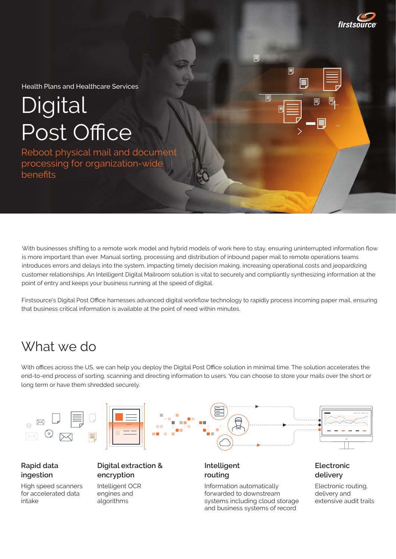

Health Plans and Healthcare Services

# **Digital** Post Office

Reboot physical mail and document processing for organization-wide benefits

With businesses shifting to a remote work model and hybrid models of work here to stay, ensuring uninterrupted information flow is more important than ever. Manual sorting, processing and distribution of inbound paper mail to remote operations teams introduces errors and delays into the system, impacting timely decision making, increasing operational costs and jeopardizing customer relationships. An Intelligent Digital Mailroom solution is vital to securely and compliantly synthesizing information at the point of entry and keeps your business running at the speed of digital.

冐

圓

Firstsource's Digital Post Office harnesses advanced digital workflow technology to rapidly process incoming paper mail, ensuring that business critical information is available at the point of need within minutes.

### What we do

for accelerated data

engines and algorithms

intake

With offices across the US, we can help you deploy the Digital Post Office solution in minimal time. The solution accelerates the end-to-end process of sorting, scanning and directing information to users. You can choose to store your mails over the short or long term or have them shredded securely.



forwarded to downstream systems including cloud storage and business systems of record

delivery and extensive audit trails